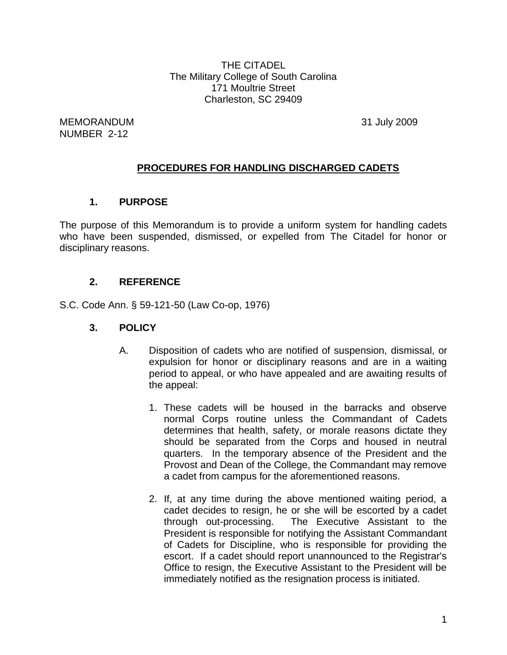THE CITADEL The Military College of South Carolina 171 Moultrie Street Charleston, SC 29409

MEMORANDUM 31 July 2009 NUMBER 2-12

# **PROCEDURES FOR HANDLING DISCHARGED CADETS**

### **1. PURPOSE**

The purpose of this Memorandum is to provide a uniform system for handling cadets who have been suspended, dismissed, or expelled from The Citadel for honor or disciplinary reasons.

# **2. REFERENCE**

S.C. Code Ann. § 59-121-50 (Law Co-op, 1976)

#### **3. POLICY**

- A. Disposition of cadets who are notified of suspension, dismissal, or expulsion for honor or disciplinary reasons and are in a waiting period to appeal, or who have appealed and are awaiting results of the appeal:
	- 1. These cadets will be housed in the barracks and observe normal Corps routine unless the Commandant of Cadets determines that health, safety, or morale reasons dictate they should be separated from the Corps and housed in neutral quarters. In the temporary absence of the President and the Provost and Dean of the College, the Commandant may remove a cadet from campus for the aforementioned reasons.
	- 2. If, at any time during the above mentioned waiting period, a cadet decides to resign, he or she will be escorted by a cadet through out-processing. The Executive Assistant to the President is responsible for notifying the Assistant Commandant of Cadets for Discipline, who is responsible for providing the escort. If a cadet should report unannounced to the Registrar's Office to resign, the Executive Assistant to the President will be immediately notified as the resignation process is initiated.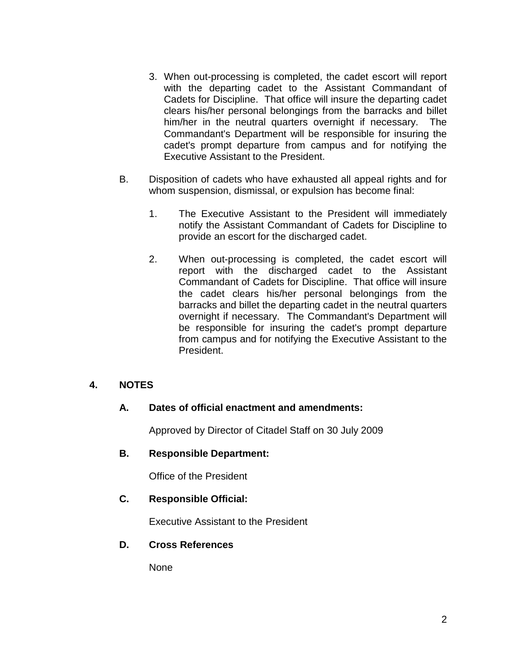- 3. When out-processing is completed, the cadet escort will report with the departing cadet to the Assistant Commandant of Cadets for Discipline. That office will insure the departing cadet clears his/her personal belongings from the barracks and billet him/her in the neutral quarters overnight if necessary. The Commandant's Department will be responsible for insuring the cadet's prompt departure from campus and for notifying the Executive Assistant to the President.
- B. Disposition of cadets who have exhausted all appeal rights and for whom suspension, dismissal, or expulsion has become final:
	- 1. The Executive Assistant to the President will immediately notify the Assistant Commandant of Cadets for Discipline to provide an escort for the discharged cadet.
	- 2. When out-processing is completed, the cadet escort will report with the discharged cadet to the Assistant Commandant of Cadets for Discipline. That office will insure the cadet clears his/her personal belongings from the barracks and billet the departing cadet in the neutral quarters overnight if necessary. The Commandant's Department will be responsible for insuring the cadet's prompt departure from campus and for notifying the Executive Assistant to the President.

# **4. NOTES**

# **A. Dates of official enactment and amendments:**

Approved by Director of Citadel Staff on 30 July 2009

#### **B. Responsible Department:**

Office of the President

#### **C. Responsible Official:**

Executive Assistant to the President

#### **D. Cross References**

None